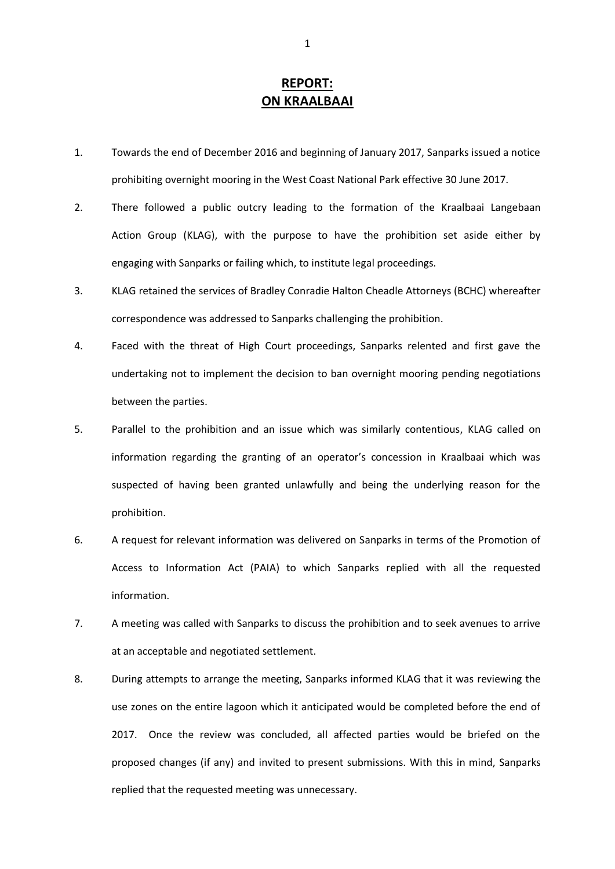## **REPORT: ON KRAALBAAI**

- 1. Towards the end of December 2016 and beginning of January 2017, Sanparks issued a notice prohibiting overnight mooring in the West Coast National Park effective 30 June 2017.
- 2. There followed a public outcry leading to the formation of the Kraalbaai Langebaan Action Group (KLAG), with the purpose to have the prohibition set aside either by engaging with Sanparks or failing which, to institute legal proceedings.
- 3. KLAG retained the services of Bradley Conradie Halton Cheadle Attorneys (BCHC) whereafter correspondence was addressed to Sanparks challenging the prohibition.
- 4. Faced with the threat of High Court proceedings, Sanparks relented and first gave the undertaking not to implement the decision to ban overnight mooring pending negotiations between the parties.
- 5. Parallel to the prohibition and an issue which was similarly contentious, KLAG called on information regarding the granting of an operator's concession in Kraalbaai which was suspected of having been granted unlawfully and being the underlying reason for the prohibition.
- 6. A request for relevant information was delivered on Sanparks in terms of the Promotion of Access to Information Act (PAIA) to which Sanparks replied with all the requested information.
- 7. A meeting was called with Sanparks to discuss the prohibition and to seek avenues to arrive at an acceptable and negotiated settlement.
- 8. During attempts to arrange the meeting, Sanparks informed KLAG that it was reviewing the use zones on the entire lagoon which it anticipated would be completed before the end of 2017. Once the review was concluded, all affected parties would be briefed on the proposed changes (if any) and invited to present submissions. With this in mind, Sanparks replied that the requested meeting was unnecessary.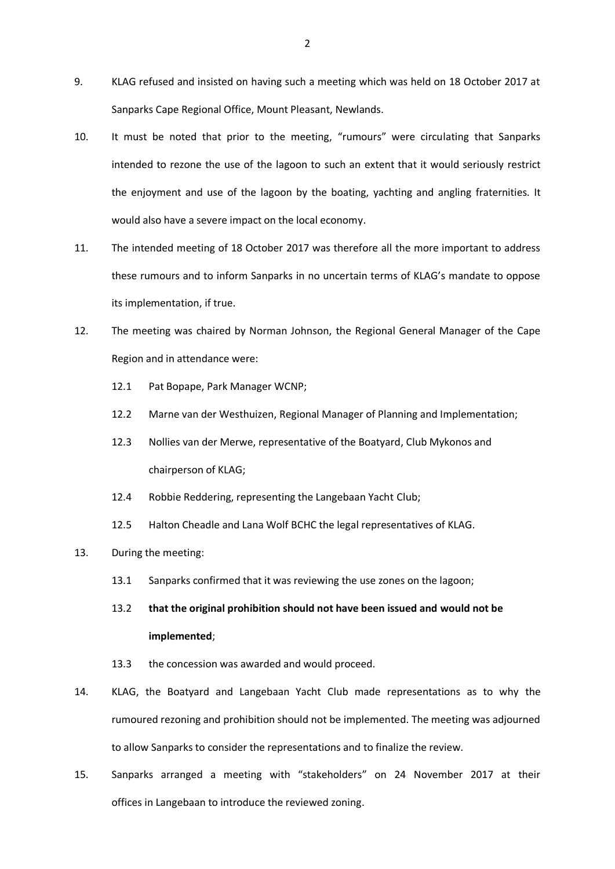- 9. KLAG refused and insisted on having such a meeting which was held on 18 October 2017 at Sanparks Cape Regional Office, Mount Pleasant, Newlands.
- 10. It must be noted that prior to the meeting, "rumours" were circulating that Sanparks intended to rezone the use of the lagoon to such an extent that it would seriously restrict the enjoyment and use of the lagoon by the boating, yachting and angling fraternities. It would also have a severe impact on the local economy.
- 11. The intended meeting of 18 October 2017 was therefore all the more important to address these rumours and to inform Sanparks in no uncertain terms of KLAG's mandate to oppose its implementation, if true.
- 12. The meeting was chaired by Norman Johnson, the Regional General Manager of the Cape Region and in attendance were:
	- 12.1 Pat Bopape, Park Manager WCNP;
	- 12.2 Marne van der Westhuizen, Regional Manager of Planning and Implementation;
	- 12.3 Nollies van der Merwe, representative of the Boatyard, Club Mykonos and chairperson of KLAG;
	- 12.4 Robbie Reddering, representing the Langebaan Yacht Club;
	- 12.5 Halton Cheadle and Lana Wolf BCHC the legal representatives of KLAG.
- 13. During the meeting:
	- 13.1 Sanparks confirmed that it was reviewing the use zones on the lagoon;

## 13.2 **that the original prohibition should not have been issued and would not be implemented**;

- 13.3 the concession was awarded and would proceed.
- 14. KLAG, the Boatyard and Langebaan Yacht Club made representations as to why the rumoured rezoning and prohibition should not be implemented. The meeting was adjourned to allow Sanparks to consider the representations and to finalize the review.
- 15. Sanparks arranged a meeting with "stakeholders" on 24 November 2017 at their offices in Langebaan to introduce the reviewed zoning.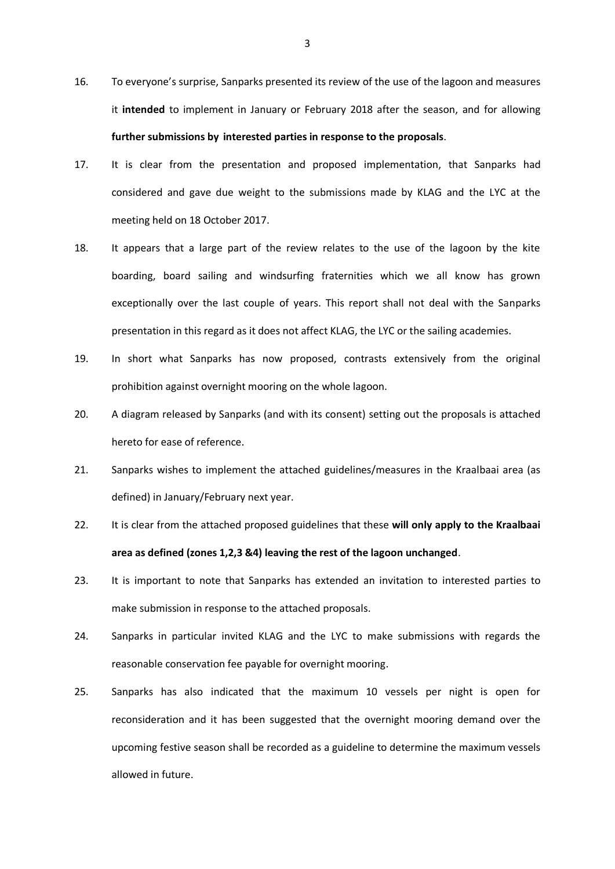- 16. To everyone's surprise, Sanparks presented its review of the use of the lagoon and measures it **intended** to implement in January or February 2018 after the season, and for allowing **further submissions by interested parties in response to the proposals**.
- 17. It is clear from the presentation and proposed implementation, that Sanparks had considered and gave due weight to the submissions made by KLAG and the LYC at the meeting held on 18 October 2017.
- 18. It appears that a large part of the review relates to the use of the lagoon by the kite boarding, board sailing and windsurfing fraternities which we all know has grown exceptionally over the last couple of years. This report shall not deal with the Sanparks presentation in this regard as it does not affect KLAG, the LYC or the sailing academies.
- 19. In short what Sanparks has now proposed, contrasts extensively from the original prohibition against overnight mooring on the whole lagoon.
- 20. A diagram released by Sanparks (and with its consent) setting out the proposals is attached hereto for ease of reference.
- 21. Sanparks wishes to implement the attached guidelines/measures in the Kraalbaai area (as defined) in January/February next year.
- 22. It is clear from the attached proposed guidelines that these **will only apply to the Kraalbaai area as defined (zones 1,2,3 &4) leaving the rest of the lagoon unchanged**.
- 23. It is important to note that Sanparks has extended an invitation to interested parties to make submission in response to the attached proposals.
- 24. Sanparks in particular invited KLAG and the LYC to make submissions with regards the reasonable conservation fee payable for overnight mooring.
- 25. Sanparks has also indicated that the maximum 10 vessels per night is open for reconsideration and it has been suggested that the overnight mooring demand over the upcoming festive season shall be recorded as a guideline to determine the maximum vessels allowed in future.